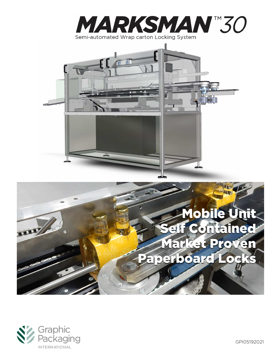



# Mobile Unit elf Contained Market Proven Paperboard Lo



GPI05192021